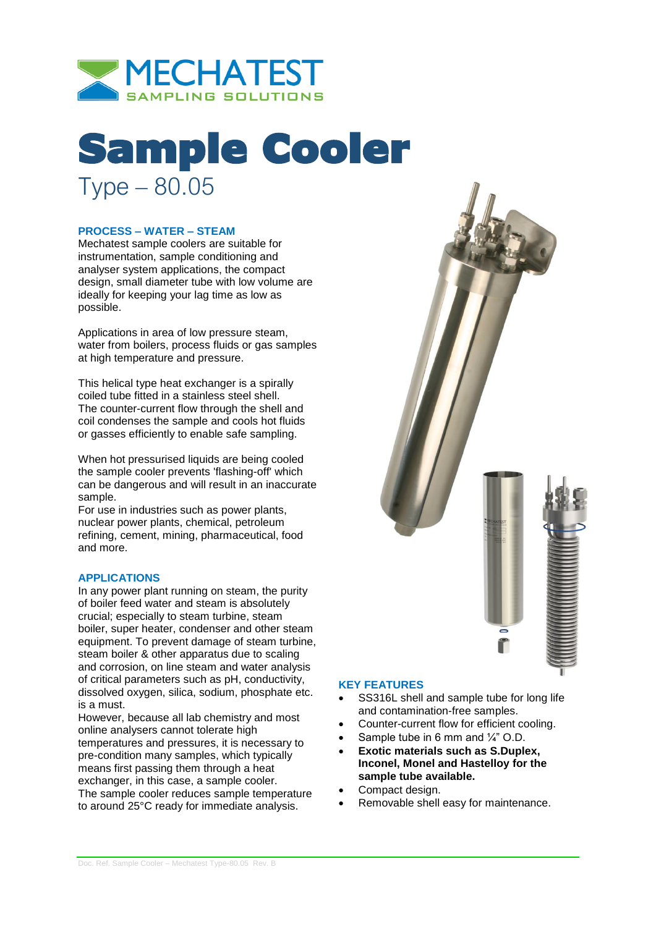

# Sample Cooler Type – 80.05

## **PROCESS – WATER – STEAM**

Mechatest sample coolers are suitable for instrumentation, sample conditioning and analyser system applications, the compact design, small diameter tube with low volume are ideally for keeping your lag time as low as possible.

Applications in area of low pressure steam, water from boilers, process fluids or gas samples at high temperature and pressure.

This helical type heat exchanger is a spirally coiled tube fitted in a stainless steel shell. The counter-current flow through the shell and coil condenses the sample and cools hot fluids or gasses efficiently to enable safe sampling.

When hot pressurised liquids are being cooled the sample cooler prevents 'flashing-off' which can be dangerous and will result in an inaccurate sample.

For use in industries such as power plants, nuclear power plants, chemical, petroleum refining, cement, mining, pharmaceutical, food and more.

#### **APPLICATIONS**

In any power plant running on steam, the purity of boiler feed water and steam is absolutely crucial; especially to steam turbine, steam boiler, super heater, condenser and other steam equipment. To prevent damage of steam turbine, steam boiler & other apparatus due to scaling and corrosion, on line steam and water analysis of critical parameters such as pH, conductivity, dissolved oxygen, silica, sodium, phosphate etc. is a must.

However, because all lab chemistry and most online analysers cannot tolerate high temperatures and pressures, it is necessary to pre-condition many samples, which typically means first passing them through a heat exchanger, in this case, a sample cooler. The sample cooler reduces sample temperature to around 25°C ready for immediate analysis.



### **KEY FEATURES**

- SS316L shell and sample tube for long life and contamination-free samples.
- Counter-current flow for efficient cooling.
- Sample tube in 6 mm and  $\frac{1}{4}$ " O.D.
- **Exotic materials such as S.Duplex, Inconel, Monel and Hastelloy for the sample tube available.**
- Compact design.
- Removable shell easy for maintenance.